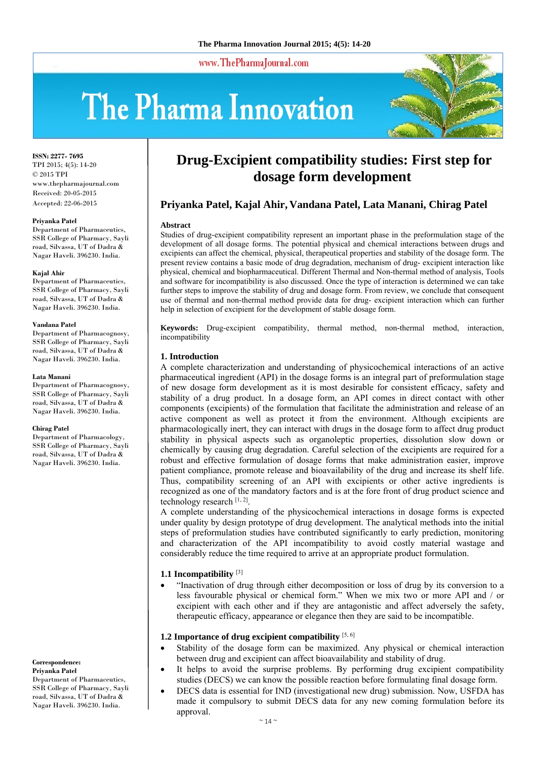www.ThePharmaJournal.com

# The Pharma Innovation



**ISSN: 2277- 7695** TPI 2015; 4(5): 14-20 © 2015 TPI www.thepharmajournal.com Received: 20-05-2015 Accepted: 22-06-2015

#### **Priyanka Patel**

Department of Pharmaceutics, SSR College of Pharmacy, Sayli road, Silvassa, UT of Dadra & Nagar Haveli. 396230. India.

#### **Kajal Ahir**

Department of Pharmaceutics, SSR College of Pharmacy, Sayli road, Silvassa, UT of Dadra & Nagar Haveli. 396230. India.

#### **Vandana Patel**

Department of Pharmacognosy, SSR College of Pharmacy, Sayli road, Silvassa, UT of Dadra & Nagar Haveli. 396230. India.

#### **Lata Manani**

Department of Pharmacognosy, SSR College of Pharmacy, Sayli road, Silvassa, UT of Dadra & Nagar Haveli. 396230. India.

#### **Chirag Patel**

Department of Pharmacology, SSR College of Pharmacy, Sayli road, Silvassa, UT of Dadra & Nagar Haveli. 396230. India.

#### **Correspondence: Priyanka Patel**

Department of Pharmaceutics, SSR College of Pharmacy, Sayli road, Silvassa, UT of Dadra & Nagar Haveli. 396230. India.

# **Drug-Excipient compatibility studies: First step for dosage form development**

# **Priyanka Patel, Kajal Ahir, Vandana Patel, Lata Manani, Chirag Patel**

#### **Abstract**

Studies of drug-excipient compatibility represent an important phase in the preformulation stage of the development of all dosage forms. The potential physical and chemical interactions between drugs and excipients can affect the chemical, physical, therapeutical properties and stability of the dosage form. The present review contains a basic mode of drug degradation, mechanism of drug- excipient interaction like physical, chemical and biopharmaceutical. Different Thermal and Non-thermal method of analysis, Tools and software for incompatibility is also discussed. Once the type of interaction is determined we can take further steps to improve the stability of drug and dosage form. From review, we conclude that consequent use of thermal and non-thermal method provide data for drug- excipient interaction which can further help in selection of excipient for the development of stable dosage form.

**Keywords:** Drug-excipient compatibility, thermal method, non-thermal method, interaction, incompatibility

#### **1. Introduction**

A complete characterization and understanding of physicochemical interactions of an active pharmaceutical ingredient (API) in the dosage forms is an integral part of preformulation stage of new dosage form development as it is most desirable for consistent efficacy, safety and stability of a drug product. In a dosage form, an API comes in direct contact with other components (excipients) of the formulation that facilitate the administration and release of an active component as well as protect it from the environment. Although excipients are pharmacologically inert, they can interact with drugs in the dosage form to affect drug product stability in physical aspects such as organoleptic properties, dissolution slow down or chemically by causing drug degradation. Careful selection of the excipients are required for a robust and effective formulation of dosage forms that make administration easier, improve patient compliance, promote release and bioavailability of the drug and increase its shelf life. Thus, compatibility screening of an API with excipients or other active ingredients is recognized as one of the mandatory factors and is at the fore front of drug product science and technology research  $[1, 2]$ .

A complete understanding of the physicochemical interactions in dosage forms is expected under quality by design prototype of drug development. The analytical methods into the initial steps of preformulation studies have contributed significantly to early prediction, monitoring and characterization of the API incompatibility to avoid costly material wastage and considerably reduce the time required to arrive at an appropriate product formulation.

#### **1.1 Incompatibility** [3]

 "Inactivation of drug through either decomposition or loss of drug by its conversion to a less favourable physical or chemical form." When we mix two or more API and / or excipient with each other and if they are antagonistic and affect adversely the safety, therapeutic efficacy, appearance or elegance then they are said to be incompatible.

# **1.2 Importance of drug excipient compatibility** [5, 6]

- Stability of the dosage form can be maximized. Any physical or chemical interaction between drug and excipient can affect bioavailability and stability of drug.
- It helps to avoid the surprise problems. By performing drug excipient compatibility studies (DECS) we can know the possible reaction before formulating final dosage form.
- DECS data is essential for IND (investigational new drug) submission. Now, USFDA has made it compulsory to submit DECS data for any new coming formulation before its approval.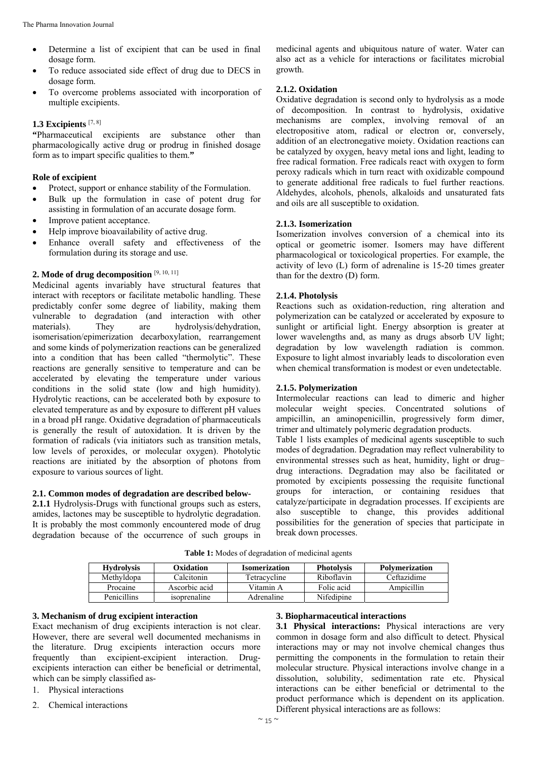- Determine a list of excipient that can be used in final dosage form.
- To reduce associated side effect of drug due to DECS in dosage form.
- To overcome problems associated with incorporation of multiple excipients.

#### **1.3 Excipients** [7, 8]

**"**Pharmaceutical excipients are substance other than pharmacologically active drug or prodrug in finished dosage form as to impart specific qualities to them.**"**

#### **Role of excipient**

- Protect, support or enhance stability of the Formulation.
- Bulk up the formulation in case of potent drug for assisting in formulation of an accurate dosage form.
- Improve patient acceptance.
- Help improve bioavailability of active drug.
- Enhance overall safety and effectiveness of the formulation during its storage and use.

# **2. Mode of drug decomposition** [9, 10, 11]

Medicinal agents invariably have structural features that interact with receptors or facilitate metabolic handling. These predictably confer some degree of liability, making them vulnerable to degradation (and interaction with other materials). They are hydrolysis/dehydration, isomerisation/epimerization decarboxylation, rearrangement and some kinds of polymerization reactions can be generalized into a condition that has been called "thermolytic". These reactions are generally sensitive to temperature and can be accelerated by elevating the temperature under various conditions in the solid state (low and high humidity). Hydrolytic reactions, can be accelerated both by exposure to elevated temperature as and by exposure to different pH values in a broad pH range. Oxidative degradation of pharmaceuticals is generally the result of autoxidation. It is driven by the formation of radicals (via initiators such as transition metals, low levels of peroxides, or molecular oxygen). Photolytic reactions are initiated by the absorption of photons from exposure to various sources of light.

#### **2.1. Common modes of degradation are described below-**

**2.1.1** Hydrolysis-Drugs with functional groups such as esters, amides, lactones may be susceptible to hydrolytic degradation. It is probably the most commonly encountered mode of drug degradation because of the occurrence of such groups in medicinal agents and ubiquitous nature of water. Water can also act as a vehicle for interactions or facilitates microbial growth.

#### **2.1.2. Oxidation**

Oxidative degradation is second only to hydrolysis as a mode of decomposition. In contrast to hydrolysis, oxidative mechanisms are complex, involving removal of an electropositive atom, radical or electron or, conversely, addition of an electronegative moiety. Oxidation reactions can be catalyzed by oxygen, heavy metal ions and light, leading to free radical formation. Free radicals react with oxygen to form peroxy radicals which in turn react with oxidizable compound to generate additional free radicals to fuel further reactions. Aldehydes, alcohols, phenols, alkaloids and unsaturated fats and oils are all susceptible to oxidation.

#### **2.1.3. Isomerization**

Isomerization involves conversion of a chemical into its optical or geometric isomer. Isomers may have different pharmacological or toxicological properties. For example, the activity of levo (L) form of adrenaline is 15-20 times greater than for the dextro (D) form.

#### **2.1.4. Photolysis**

Reactions such as oxidation-reduction, ring alteration and polymerization can be catalyzed or accelerated by exposure to sunlight or artificial light. Energy absorption is greater at lower wavelengths and, as many as drugs absorb UV light; degradation by low wavelength radiation is common. Exposure to light almost invariably leads to discoloration even when chemical transformation is modest or even undetectable.

#### **2.1.5. Polymerization**

Intermolecular reactions can lead to dimeric and higher molecular weight species. Concentrated solutions of ampicillin, an aminopenicillin, progressively form dimer, trimer and ultimately polymeric degradation products.

Table 1 lists examples of medicinal agents susceptible to such modes of degradation. Degradation may reflect vulnerability to environmental stresses such as heat, humidity, light or drug– drug interactions. Degradation may also be facilitated or promoted by excipients possessing the requisite functional groups for interaction, or containing residues that catalyze/participate in degradation processes. If excipients are also susceptible to change, this provides additional possibilities for the generation of species that participate in break down processes.

| <b>Hydrolysis</b> | Oxidation     | <b>Isomerization</b> | <b>Photolysis</b> | <b>Polymerization</b> |
|-------------------|---------------|----------------------|-------------------|-----------------------|
| Methyldopa        | Calcitonin    | Tetracycline         | Riboflavin        | Ceftazidime           |
| Procaine          | Ascorbic acid | Vitamin A            | Folic acid        | Ampicillin            |
| Penicillins       | isoprenaline  | Adrenaline           | Nifedipine        |                       |

**Table 1:** Modes of degradation of medicinal agents

### **3. Mechanism of drug excipient interaction**

Exact mechanism of drug excipients interaction is not clear. However, there are several well documented mechanisms in the literature. Drug excipients interaction occurs more frequently than excipient-excipient interaction. Drugexcipients interaction can either be beneficial or detrimental, which can be simply classified as-

- 1. Physical interactions
- 2. Chemical interactions

#### **3. Biopharmaceutical interactions**

**3.1 Physical interactions:** Physical interactions are very common in dosage form and also difficult to detect. Physical interactions may or may not involve chemical changes thus permitting the components in the formulation to retain their molecular structure. Physical interactions involve change in a dissolution, solubility, sedimentation rate etc. Physical interactions can be either beneficial or detrimental to the product performance which is dependent on its application. Different physical interactions are as follows: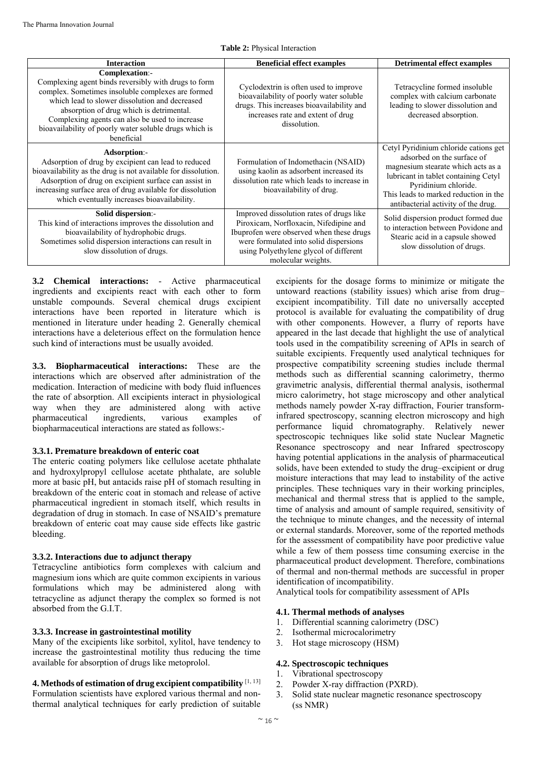**Table 2:** Physical Interaction

| <b>Interaction</b>                                                                                                                                                                                                                                                                                                                                  | <b>Beneficial effect examples</b>                                                                                                                                                                                                        | <b>Detrimental effect examples</b>                                                                                                                                                                                                                        |
|-----------------------------------------------------------------------------------------------------------------------------------------------------------------------------------------------------------------------------------------------------------------------------------------------------------------------------------------------------|------------------------------------------------------------------------------------------------------------------------------------------------------------------------------------------------------------------------------------------|-----------------------------------------------------------------------------------------------------------------------------------------------------------------------------------------------------------------------------------------------------------|
| Complexation:-<br>Complexing agent binds reversibly with drugs to form<br>complex. Sometimes insoluble complexes are formed<br>which lead to slower dissolution and decreased<br>absorption of drug which is detrimental.<br>Complexing agents can also be used to increase<br>bioavailability of poorly water soluble drugs which is<br>beneficial | Cyclodextrin is often used to improve<br>bioavailability of poorly water soluble<br>drugs. This increases bioavailability and<br>increases rate and extent of drug<br>dissolution.                                                       | Tetracycline formed insoluble<br>complex with calcium carbonate<br>leading to slower dissolution and<br>decreased absorption.                                                                                                                             |
| Adsorption:-<br>Adsorption of drug by excipient can lead to reduced<br>bioavailability as the drug is not available for dissolution.<br>Adsorption of drug on excipient surface can assist in<br>increasing surface area of drug available for dissolution<br>which eventually increases bioavailability.                                           | Formulation of Indomethacin (NSAID)<br>using kaolin as adsorbent increased its<br>dissolution rate which leads to increase in<br>bioavailability of drug.                                                                                | Cetyl Pyridinium chloride cations get<br>adsorbed on the surface of<br>magnesium stearate which acts as a<br>lubricant in tablet containing Cetyl<br>Pyridinium chloride.<br>This leads to marked reduction in the<br>antibacterial activity of the drug. |
| Solid dispersion:-<br>This kind of interactions improves the dissolution and<br>bioavailability of hydrophobic drugs.<br>Sometimes solid dispersion interactions can result in<br>slow dissolution of drugs.                                                                                                                                        | Improved dissolution rates of drugs like<br>Piroxicam, Norfloxacin, Nifedipine and<br>Ibuprofen were observed when these drugs<br>were formulated into solid dispersions<br>using Polyethylene glycol of different<br>molecular weights. | Solid dispersion product formed due<br>to interaction between Povidone and<br>Stearic acid in a capsule showed<br>slow dissolution of drugs.                                                                                                              |

**3.2 Chemical interactions:** - Active pharmaceutical ingredients and excipients react with each other to form unstable compounds. Several chemical drugs excipient interactions have been reported in literature which is mentioned in literature under heading 2. Generally chemical interactions have a deleterious effect on the formulation hence such kind of interactions must be usually avoided.

**3.3. Biopharmaceutical interactions:** These are the interactions which are observed after administration of the medication. Interaction of medicine with body fluid influences the rate of absorption. All excipients interact in physiological way when they are administered along with active pharmaceutical ingredients, various examples of biopharmaceutical interactions are stated as follows:-

#### **3.3.1. Premature breakdown of enteric coat**

The enteric coating polymers like cellulose acetate phthalate and hydroxylpropyl cellulose acetate phthalate, are soluble more at basic pH, but antacids raise pH of stomach resulting in breakdown of the enteric coat in stomach and release of active pharmaceutical ingredient in stomach itself, which results in degradation of drug in stomach. In case of NSAID's premature breakdown of enteric coat may cause side effects like gastric bleeding.

#### **3.3.2. Interactions due to adjunct therapy**

Tetracycline antibiotics form complexes with calcium and magnesium ions which are quite common excipients in various formulations which may be administered along with tetracycline as adjunct therapy the complex so formed is not absorbed from the G.I.T.

#### **3.3.3. Increase in gastrointestinal motility**

Many of the excipients like sorbitol, xylitol, have tendency to increase the gastrointestinal motility thus reducing the time available for absorption of drugs like metoprolol.

**4. Methods of estimation of drug excipient compatibility** [1, 13] Formulation scientists have explored various thermal and nonthermal analytical techniques for early prediction of suitable excipients for the dosage forms to minimize or mitigate the untoward reactions (stability issues) which arise from drug– excipient incompatibility. Till date no universally accepted protocol is available for evaluating the compatibility of drug with other components. However, a flurry of reports have appeared in the last decade that highlight the use of analytical tools used in the compatibility screening of APIs in search of suitable excipients. Frequently used analytical techniques for prospective compatibility screening studies include thermal methods such as differential scanning calorimetry, thermo gravimetric analysis, differential thermal analysis, isothermal micro calorimetry, hot stage microscopy and other analytical methods namely powder X-ray diffraction, Fourier transforminfrared spectroscopy, scanning electron microscopy and high performance liquid chromatography. Relatively newer spectroscopic techniques like solid state Nuclear Magnetic Resonance spectroscopy and near Infrared spectroscopy having potential applications in the analysis of pharmaceutical solids, have been extended to study the drug–excipient or drug moisture interactions that may lead to instability of the active principles. These techniques vary in their working principles, mechanical and thermal stress that is applied to the sample, time of analysis and amount of sample required, sensitivity of the technique to minute changes, and the necessity of internal or external standards. Moreover, some of the reported methods for the assessment of compatibility have poor predictive value while a few of them possess time consuming exercise in the pharmaceutical product development. Therefore, combinations of thermal and non-thermal methods are successful in proper identification of incompatibility.

Analytical tools for compatibility assessment of APIs

#### **4.1. Thermal methods of analyses**

- 1. Differential scanning calorimetry (DSC)
- 2. Isothermal microcalorimetry
- 3. Hot stage microscopy (HSM)

#### **4.2. Spectroscopic techniques**

- 1. Vibrational spectroscopy
- 2. Powder X-ray diffraction (PXRD).
- 3. Solid state nuclear magnetic resonance spectroscopy (ss NMR)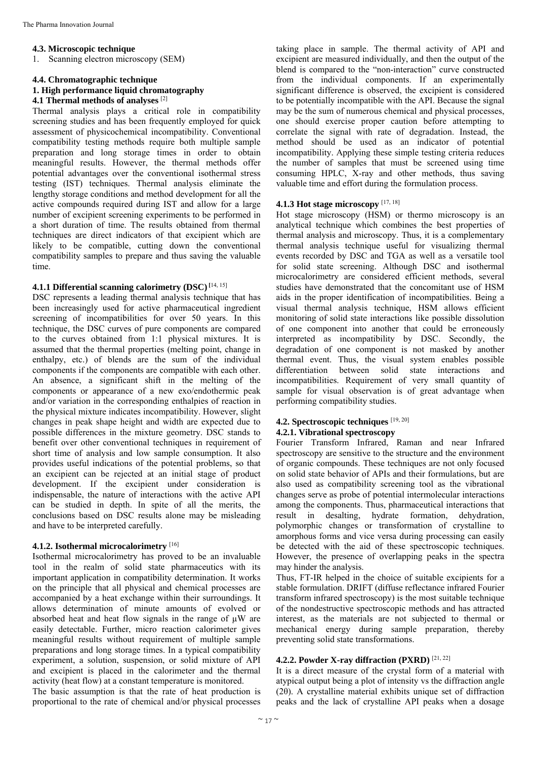#### **4.3. Microscopic technique**

1. Scanning electron microscopy (SEM)

#### **4.4. Chromatographic technique**

# **1. High performance liquid chromatography**

**4.1 Thermal methods of analyses** [2]

Thermal analysis plays a critical role in compatibility screening studies and has been frequently employed for quick assessment of physicochemical incompatibility. Conventional compatibility testing methods require both multiple sample preparation and long storage times in order to obtain meaningful results. However, the thermal methods offer potential advantages over the conventional isothermal stress testing (IST) techniques. Thermal analysis eliminate the lengthy storage conditions and method development for all the active compounds required during IST and allow for a large number of excipient screening experiments to be performed in a short duration of time. The results obtained from thermal techniques are direct indicators of that excipient which are likely to be compatible, cutting down the conventional compatibility samples to prepare and thus saving the valuable time.

#### **4.1.1 Differential scanning calorimetry (DSC) [**14, 15]

DSC represents a leading thermal analysis technique that has been increasingly used for active pharmaceutical ingredient screening of incompatibilities for over 50 years. In this technique, the DSC curves of pure components are compared to the curves obtained from 1:1 physical mixtures. It is assumed that the thermal properties (melting point, change in enthalpy, etc.) of blends are the sum of the individual components if the components are compatible with each other. An absence, a significant shift in the melting of the components or appearance of a new exo/endothermic peak and/or variation in the corresponding enthalpies of reaction in the physical mixture indicates incompatibility. However, slight changes in peak shape height and width are expected due to possible differences in the mixture geometry. DSC stands to benefit over other conventional techniques in requirement of short time of analysis and low sample consumption. It also provides useful indications of the potential problems, so that an excipient can be rejected at an initial stage of product development. If the excipient under consideration is indispensable, the nature of interactions with the active API can be studied in depth. In spite of all the merits, the conclusions based on DSC results alone may be misleading and have to be interpreted carefully.

#### **4.1.2. Isothermal microcalorimetry** [16]

Isothermal microcalorimetry has proved to be an invaluable tool in the realm of solid state pharmaceutics with its important application in compatibility determination. It works on the principle that all physical and chemical processes are accompanied by a heat exchange within their surroundings. It allows determination of minute amounts of evolved or absorbed heat and heat flow signals in the range of  $\mu$ W are easily detectable. Further, micro reaction calorimeter gives meaningful results without requirement of multiple sample preparations and long storage times. In a typical compatibility experiment, a solution, suspension, or solid mixture of API and excipient is placed in the calorimeter and the thermal activity (heat flow) at a constant temperature is monitored.

The basic assumption is that the rate of heat production is proportional to the rate of chemical and/or physical processes taking place in sample. The thermal activity of API and excipient are measured individually, and then the output of the blend is compared to the "non-interaction" curve constructed from the individual components. If an experimentally significant difference is observed, the excipient is considered to be potentially incompatible with the API. Because the signal may be the sum of numerous chemical and physical processes, one should exercise proper caution before attempting to correlate the signal with rate of degradation. Instead, the method should be used as an indicator of potential incompatibility. Applying these simple testing criteria reduces the number of samples that must be screened using time consuming HPLC, X-ray and other methods, thus saving valuable time and effort during the formulation process.

# **4.1.3 Hot stage microscopy** [17, 18]

Hot stage microscopy (HSM) or thermo microscopy is an analytical technique which combines the best properties of thermal analysis and microscopy. Thus, it is a complementary thermal analysis technique useful for visualizing thermal events recorded by DSC and TGA as well as a versatile tool for solid state screening. Although DSC and isothermal microcalorimetry are considered efficient methods, several studies have demonstrated that the concomitant use of HSM aids in the proper identification of incompatibilities. Being a visual thermal analysis technique, HSM allows efficient monitoring of solid state interactions like possible dissolution of one component into another that could be erroneously interpreted as incompatibility by DSC. Secondly, the degradation of one component is not masked by another thermal event. Thus, the visual system enables possible differentiation between solid state interactions and incompatibilities. Requirement of very small quantity of sample for visual observation is of great advantage when performing compatibility studies.

#### **4.2. Spectroscopic techniques** [19, 20] **4.2.1. Vibrational spectroscopy**

Fourier Transform Infrared, Raman and near Infrared spectroscopy are sensitive to the structure and the environment of organic compounds. These techniques are not only focused on solid state behavior of APIs and their formulations, but are also used as compatibility screening tool as the vibrational changes serve as probe of potential intermolecular interactions among the components. Thus, pharmaceutical interactions that result in desalting, hydrate formation, dehydration, polymorphic changes or transformation of crystalline to amorphous forms and vice versa during processing can easily be detected with the aid of these spectroscopic techniques. However, the presence of overlapping peaks in the spectra may hinder the analysis.

Thus, FT-IR helped in the choice of suitable excipients for a stable formulation. DRIFT (diffuse reflectance infrared Fourier transform infrared spectroscopy) is the most suitable technique of the nondestructive spectroscopic methods and has attracted interest, as the materials are not subjected to thermal or mechanical energy during sample preparation, thereby preventing solid state transformations.

#### **4.2.2. Powder X-ray diffraction (PXRD)** [21, 22]

It is a direct measure of the crystal form of a material with atypical output being a plot of intensity vs the diffraction angle (2θ). A crystalline material exhibits unique set of diffraction peaks and the lack of crystalline API peaks when a dosage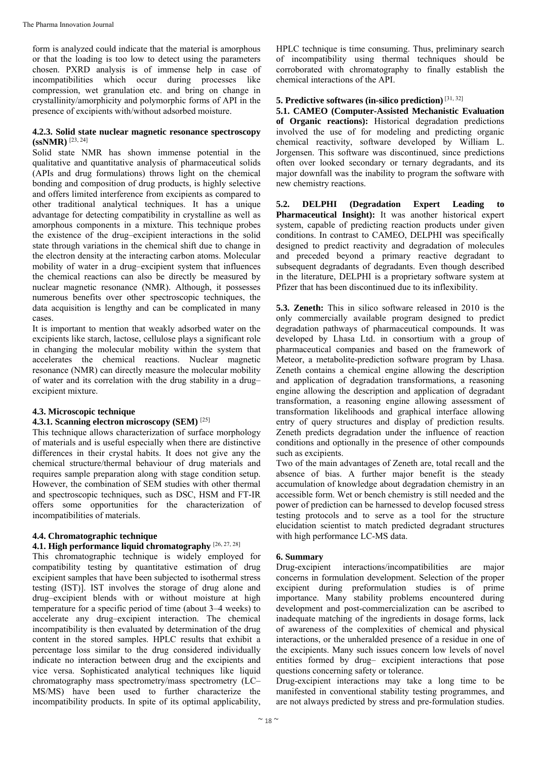form is analyzed could indicate that the material is amorphous or that the loading is too low to detect using the parameters chosen. PXRD analysis is of immense help in case of incompatibilities which occur during processes like compression, wet granulation etc. and bring on change in crystallinity/amorphicity and polymorphic forms of API in the presence of excipients with/without adsorbed moisture.

#### **4.2.3. Solid state nuclear magnetic resonance spectroscopy (ssNMR)** [23, 24]

Solid state NMR has shown immense potential in the qualitative and quantitative analysis of pharmaceutical solids (APIs and drug formulations) throws light on the chemical bonding and composition of drug products, is highly selective and offers limited interference from excipients as compared to other traditional analytical techniques. It has a unique advantage for detecting compatibility in crystalline as well as amorphous components in a mixture. This technique probes the existence of the drug–excipient interactions in the solid state through variations in the chemical shift due to change in the electron density at the interacting carbon atoms. Molecular mobility of water in a drug–excipient system that influences the chemical reactions can also be directly be measured by nuclear magnetic resonance (NMR). Although, it possesses numerous benefits over other spectroscopic techniques, the data acquisition is lengthy and can be complicated in many cases.

It is important to mention that weakly adsorbed water on the excipients like starch, lactose, cellulose plays a significant role in changing the molecular mobility within the system that accelerates the chemical reactions. Nuclear magnetic resonance (NMR) can directly measure the molecular mobility of water and its correlation with the drug stability in a drug– excipient mixture.

#### **4.3. Microscopic technique**

### **4.3.1. Scanning electron microscopy (SEM)** [25]

This technique allows characterization of surface morphology of materials and is useful especially when there are distinctive differences in their crystal habits. It does not give any the chemical structure/thermal behaviour of drug materials and requires sample preparation along with stage condition setup. However, the combination of SEM studies with other thermal and spectroscopic techniques, such as DSC, HSM and FT-IR offers some opportunities for the characterization of incompatibilities of materials.

#### **4.4. Chromatographic technique**

# **4.1. High performance liquid chromatography** [26, 27, 28]

This chromatographic technique is widely employed for compatibility testing by quantitative estimation of drug excipient samples that have been subjected to isothermal stress testing (IST)]. IST involves the storage of drug alone and drug–excipient blends with or without moisture at high temperature for a specific period of time (about 3–4 weeks) to accelerate any drug–excipient interaction. The chemical incompatibility is then evaluated by determination of the drug content in the stored samples. HPLC results that exhibit a percentage loss similar to the drug considered individually indicate no interaction between drug and the excipients and vice versa. Sophisticated analytical techniques like liquid chromatography mass spectrometry/mass spectrometry (LC– MS/MS) have been used to further characterize the incompatibility products. In spite of its optimal applicability,

HPLC technique is time consuming. Thus, preliminary search of incompatibility using thermal techniques should be corroborated with chromatography to finally establish the chemical interactions of the API.

# **5. Predictive softwares (in-silico prediction)** [31, 32]

**5.1. CAMEO (Computer-Assisted Mechanistic Evaluation of Organic reactions):** Historical degradation predictions involved the use of for modeling and predicting organic chemical reactivity, software developed by William L. Jorgensen. This software was discontinued, since predictions often over looked secondary or ternary degradants, and its major downfall was the inability to program the software with new chemistry reactions.

**5.2. DELPHI (Degradation Expert Leading to Pharmaceutical Insight):** It was another historical expert system, capable of predicting reaction products under given conditions. In contrast to CAMEO, DELPHI was specifically designed to predict reactivity and degradation of molecules and preceded beyond a primary reactive degradant to subsequent degradants of degradants. Even though described in the literature, DELPHI is a proprietary software system at Pfizer that has been discontinued due to its inflexibility.

**5.3. Zeneth:** This in silico software released in 2010 is the only commercially available program designed to predict degradation pathways of pharmaceutical compounds. It was developed by Lhasa Ltd. in consortium with a group of pharmaceutical companies and based on the framework of Meteor, a metabolite-prediction software program by Lhasa. Zeneth contains a chemical engine allowing the description and application of degradation transformations, a reasoning engine allowing the description and application of degradant transformation, a reasoning engine allowing assessment of transformation likelihoods and graphical interface allowing entry of query structures and display of prediction results. Zeneth predicts degradation under the influence of reaction conditions and optionally in the presence of other compounds such as excipients.

Two of the main advantages of Zeneth are, total recall and the absence of bias. A further major benefit is the steady accumulation of knowledge about degradation chemistry in an accessible form. Wet or bench chemistry is still needed and the power of prediction can be harnessed to develop focused stress testing protocols and to serve as a tool for the structure elucidation scientist to match predicted degradant structures with high performance LC-MS data.

#### **6. Summary**

Drug-excipient interactions/incompatibilities are major concerns in formulation development. Selection of the proper excipient during preformulation studies is of prime importance. Many stability problems encountered during development and post-commercialization can be ascribed to inadequate matching of the ingredients in dosage forms, lack of awareness of the complexities of chemical and physical interactions, or the unheralded presence of a residue in one of the excipients. Many such issues concern low levels of novel entities formed by drug– excipient interactions that pose questions concerning safety or tolerance.

Drug-excipient interactions may take a long time to be manifested in conventional stability testing programmes, and are not always predicted by stress and pre-formulation studies.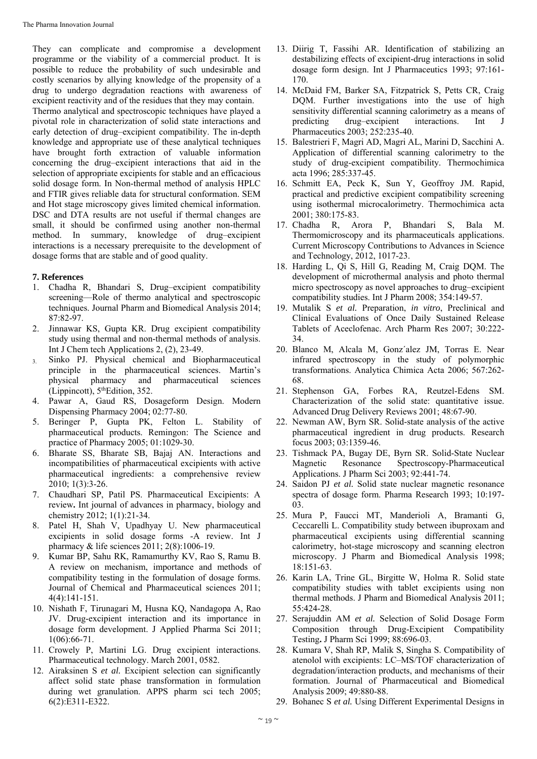They can complicate and compromise a development programme or the viability of a commercial product. It is possible to reduce the probability of such undesirable and costly scenarios by allying knowledge of the propensity of a drug to undergo degradation reactions with awareness of excipient reactivity and of the residues that they may contain.

Thermo analytical and spectroscopic techniques have played a pivotal role in characterization of solid state interactions and early detection of drug–excipient compatibility. The in-depth knowledge and appropriate use of these analytical techniques have brought forth extraction of valuable information concerning the drug–excipient interactions that aid in the selection of appropriate excipients for stable and an efficacious solid dosage form. In Non-thermal method of analysis HPLC and FTIR gives reliable data for structural conformation. SEM and Hot stage microscopy gives limited chemical information. DSC and DTA results are not useful if thermal changes are small, it should be confirmed using another non-thermal method. In summary, knowledge of drug–excipient interactions is a necessary prerequisite to the development of dosage forms that are stable and of good quality.

#### **7. References**

- 1. Chadha R, Bhandari S, Drug–excipient compatibility screening—Role of thermo analytical and spectroscopic techniques. Journal Pharm and Biomedical Analysis 2014; 87:82-97.
- 2. Jinnawar KS, Gupta KR. Drug excipient compatibility study using thermal and non-thermal methods of analysis. Int J Chem tech Applications 2, (2), 23-49.
- 3. Sinko PJ. Physical chemical and Biopharmaceutical principle in the pharmaceutical sciences. Martin's physical pharmacy and pharmaceutical sciences (Lippincott), 5thEdition, 352.
- 4. Pawar A, Gaud RS, Dosageform Design. Modern Dispensing Pharmacy 2004; 02:77-80.
- 5. Beringer P, Gupta PK, Felton L. Stability of pharmaceutical products. Remingon: The Science and practice of Pharmacy 2005; 01:1029-30.
- 6. Bharate SS, Bharate SB, Bajaj AN. Interactions and incompatibilities of pharmaceutical excipients with active pharmaceutical ingredients: a comprehensive review 2010; 1(3):3-26.
- 7. Chaudhari SP, Patil PS. Pharmaceutical Excipients: A review**.** Int journal of advances in pharmacy, biology and chemistry 2012; 1(1):21-34.
- 8. Patel H, Shah V, Upadhyay U. New pharmaceutical excipients in solid dosage forms -A review. Int J pharmacy & life sciences 2011; 2(8):1006-19.
- 9. Kumar BP, Sahu RK, Ramamurthy KV, Rao S, Ramu B. A review on mechanism, importance and methods of compatibility testing in the formulation of dosage forms. Journal of Chemical and Pharmaceutical sciences 2011; 4(4):141-151.
- 10. Nishath F, Tirunagari M, Husna KQ, Nandagopa A, Rao JV. Drug-excipient interaction and its importance in dosage form development. J Applied Pharma Sci 2011; 1(06):66-71.
- 11. Crowely P, Martini LG. Drug excipient interactions. Pharmaceutical technology. March 2001, 0582.
- 12. Airaksinen S *et al.* Excipient selection can significantly affect solid state phase transformation in formulation during wet granulation. APPS pharm sci tech 2005; 6(2):E311-E322.
- 13. Diirig T, Fassihi AR. Identification of stabilizing an destabilizing effects of excipient-drug interactions in solid dosage form design. Int J Pharmaceutics 1993; 97:161- 170.
- 14. McDaid FM, Barker SA, Fitzpatrick S, Petts CR, Craig DQM. Further investigations into the use of high sensitivity differential scanning calorimetry as a means of predicting drug–excipient interactions. Int J Pharmaceutics 2003; 252:235-40.
- 15. Balestrieri F, Magri AD, Magri AL, Marini D, Sacchini A. Application of differential scanning calorimetry to the study of drug-excipient compatibility. Thermochimica acta 1996; 285:337-45.
- 16. Schmitt EA, Peck K, Sun Y, Geoffroy JM. Rapid, practical and predictive excipient compatibility screening using isothermal microcalorimetry. Thermochimica acta 2001; 380:175-83.
- 17. Chadha R, Arora P, Bhandari S, Bala M. Thermomicroscopy and its pharmaceuticals applications. Current Microscopy Contributions to Advances in Science and Technology, 2012, 1017-23.
- 18. Harding L, Qi S, Hill G, Reading M, Craig DQM. The development of microthermal analysis and photo thermal micro spectroscopy as novel approaches to drug–excipient compatibility studies. Int J Pharm 2008; 354:149-57.
- 19. Mutalik S *et al.* Preparation, *in vitro*, Preclinical and Clinical Evaluations of Once Daily Sustained Release Tablets of Aceclofenac. Arch Pharm Res 2007; 30:222- 34.
- 20. Blanco M, Alcala M, Gonz´alez JM, Torras E. Near infrared spectroscopy in the study of polymorphic transformations. Analytica Chimica Acta 2006; 567:262- 68.
- 21. Stephenson GA, Forbes RA, Reutzel-Edens SM. Characterization of the solid state: quantitative issue. Advanced Drug Delivery Reviews 2001; 48:67-90.
- 22. Newman AW, Byrn SR. Solid-state analysis of the active pharmaceutical ingredient in drug products. Research focus 2003; 03:1359-46.
- 23. Tishmack PA, Bugay DE, Byrn SR. Solid-State Nuclear Magnetic Resonance Spectroscopy-Pharmaceutical Applications. J Pharm Sci 2003; 92:441-74.
- 24. Saidon PJ *et al.* Solid state nuclear magnetic resonance spectra of dosage form. Pharma Research 1993; 10:197- 03.
- 25. Mura P, Faucci MT, Manderioli A, Bramanti G, Ceccarelli L. Compatibility study between ibuproxam and pharmaceutical excipients using differential scanning calorimetry, hot-stage microscopy and scanning electron microscopy. J Pharm and Biomedical Analysis 1998; 18:151-63.
- 26. Karin LA, Trine GL, Birgitte W, Holma R. Solid state compatibility studies with tablet excipients using non thermal methods. J Pharm and Biomedical Analysis 2011; 55:424-28.
- 27. Serajuddin AM *et al.* Selection of Solid Dosage Form Composition through Drug-Excipient Compatibility Testing**.** J Pharm Sci 1999; 88:696-03.
- 28. Kumara V, Shah RP, Malik S, Singha S. Compatibility of atenolol with excipients: LC–MS/TOF characterization of degradation/interaction products, and mechanisms of their formation. Journal of Pharmaceutical and Biomedical Analysis 2009; 49:880-88.
- 29. Bohanec S *et al.* Using Different Experimental Designs in